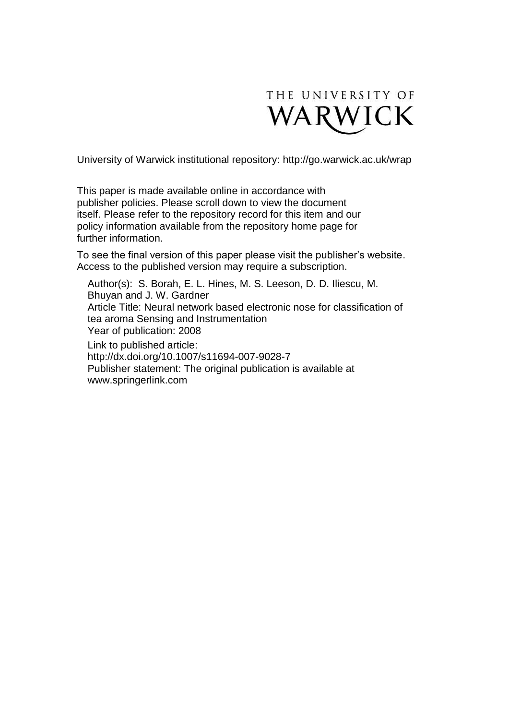

University of Warwick institutional repository:<http://go.warwick.ac.uk/wrap>

This paper is made available online in accordance with publisher policies. Please scroll down to view the document itself. Please refer to the repository record for this item and our policy information available from the repository home page for further information.

To see the final version of this paper please visit the publisher's website. Access to the published version may require a subscription.

Author(s): S. Borah, E. L. Hines, M. S. Leeson, D. D. Iliescu, M. Bhuyan and J. W. Gardner Article Title: Neural network based electronic nose for classification of tea aroma Sensing and Instrumentation Year of publication: 2008 Link to published article: http://dx.doi.org/10.1007/s11694-007-9028-7 Publisher statement: The original publication is available at www.springerlink.com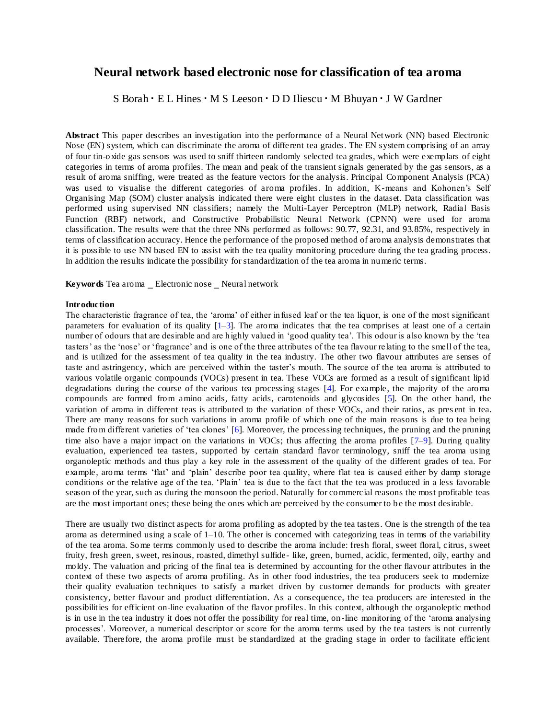# **Neural network based electronic nose for classification of tea aroma**

S Borah · E L Hines · M S Leeson · D D Iliescu · M Bhuyan · J W Gardner

**Abstract** This paper describes an investigation into the performance of a Neural Network (NN) based Electronic Nose (EN) system, which can discriminate the aroma of different tea grades. The EN system comprising of an array of four tin-oxide gas sensors was used to sniff thirteen randomly selected tea grades, which were exemplars of eight categories in terms of aroma profiles. The mean and peak of the transient signals generated by the gas sensors, as a result of aroma sniffing, were treated as the feature vectors for the analysis. Principal Component Analysis (PCA) was used to visualise the different categories of aroma profiles. In addition, K-means and Kohonen's Self Organising Map (SOM) cluster analysis indicated there were eight clusters in the dataset. Data classification was performed using supervised NN classifiers; namely the Multi-Layer Perceptron (MLP) network, Radial Basis Function (RBF) network, and Constructive Probabilistic Neural Network (CPNN) were used for aroma classification. The results were that the three NNs performed as follows: 90.77, 92.31, and 93.85%, respectively in terms of classification accuracy. Hence the performance of the proposed method of aroma analysis demonstrates that it is possible to use NN based EN to assist with the tea quality monitoring procedure during the tea grading process. In addition the results indicate the possibility for standardization of the tea aroma in numeric terms.

**Keywords** Tea aroma \_ Electronic nose \_ Neural network

#### **Introduction**

The characteristic fragrance of tea, the 'aroma' of either infused leaf or the tea liquor, is one of the most significant parameters for evaluation of its quality  $[1-3]$ . The aroma indicates that the tea comprises at least one of a certain number of odours that are desirable and are highly valued in 'good quality tea'. This odour is also known by the 'tea tasters' as the 'nose' or 'fragrance' and is one of the three attributes of the tea flavour relating to the smell of the tea, and is utilized for the assessment of tea quality in the tea industry. The other two flavour attributes are senses of taste and astringency, which are perceived within the taster's mouth. The source of the tea aroma is attributed to various volatile organic compounds (VOCs) present in tea. These VOCs are formed as a result of significant lipid degradations during the course of the various tea processing stages [4]. For example, the majority of the aroma compounds are formed from amino acids, fatty acids, carotenoids and glycosides [5]. On the other hand, the variation of aroma in different teas is attributed to the variation of these VOCs, and their ratios, as pres ent in tea. There are many reasons for such variations in aroma profile of which one of the main reasons is due to tea being made from different varieties of 'tea clones' [6]. Moreover, the processing techniques, the pruning and the pruning time also have a major impact on the variations in VOCs; thus affecting the aroma profiles [7–9]. During quality evaluation, experienced tea tasters, supported by certain standard flavor terminology, sniff the tea aroma using organoleptic methods and thus play a key role in the assessment of the quality of the different grades of tea. For example, aroma terms 'flat' and 'plain' describe poor tea quality, where flat tea is caused either by damp storage conditions or the relative age of the tea. 'Plain' tea is due to the fact that the tea was produced in a less favorable season of the year, such as during the monsoon the period. Naturally for commercial reasons the most profitable teas are the most important ones; these being the ones which are perceived by the consumer to b e the most desirable.

There are usually two distinct aspects for aroma profiling as adopted by the tea tasters. One is the strength of the tea aroma as determined using a scale of  $1-10$ . The other is concerned with categorizing teas in terms of the variability of the tea aroma. Some terms commonly used to describe the aroma include: fresh floral, sweet floral, citrus, sweet fruity, fresh green, sweet, resinous, roasted, dimethyl sulfide- like, green, burned, acidic, fermented, oily, earthy and moldy. The valuation and pricing of the final tea is determined by accounting for the other flavour attributes in the context of these two aspects of aroma profiling. As in other food industries, the tea producers seek to modernize their quality evaluation techniques to satisfy a market driven by customer demands for products with greater consistency, better flavour and product differentiation. As a consequence, the tea producers are interested in the possibilities for efficient on-line evaluation of the flavor profiles. In this context, although the organoleptic method is in use in the tea industry it does not offer the possibility for real time, on-line monitoring of the 'aroma analysing processes'. Moreover, a numerical descriptor or score for the aroma terms used by the tea tasters is not currently available. Therefore, the aroma profile must be standardized at the grading stage in order to facilitate efficient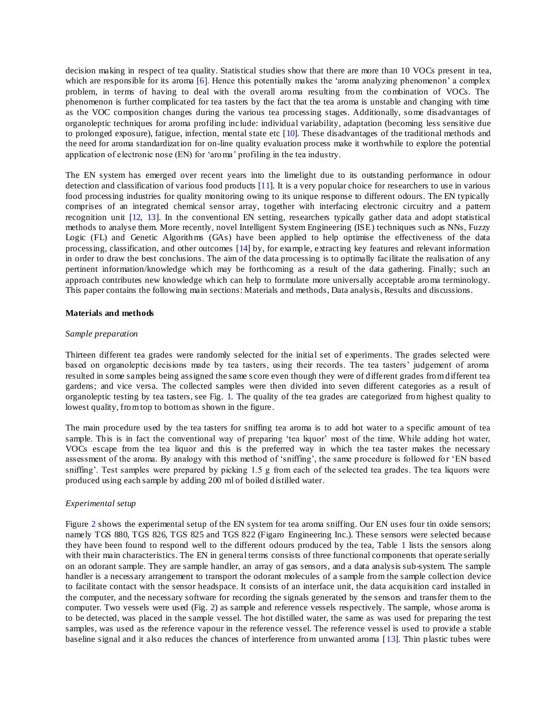decision making in respect of tea quality. Statistical studies show that there are more than 10 VOCs present in tea, which are responsible for its aroma [6]. Hence this potentially makes the 'aroma analyzing phenomenon' a complex problem, in terms of having to deal with the overall aroma resulting from the combination of VOCs. The phenomenon is further complicated for tea tasters by the fact that the tea aroma is unstable and changing with time as the VOC composition changes during the various tea processing stages. Additionally, some disadvantages of organoleptic techniques for aroma profiling include: individual variability, adaptation (becoming less sensitive due to prolonged exposure), fatigue, infection, mental state etc [10]. These disadvantages of the traditional methods and the need for aroma standardization for on-line quality evaluation process make it worthwhile to explore the potential application of electronic nose (EN) for 'aroma' profiling in the tea industry.

The EN system has emerged over recent years into the limelight due to its outstanding performance in odour detection and classification of various food products [11]. It is a very popular choice for researchers to use in various food processing industries for quality monitoring owing to its unique response to different odours. The EN typically comprises of an integrated chemical sensor array, together with interfacing electronic circuitry and a pattern recognition unit [12, 13]. In the conventional EN setting, researchers typically gather data and adopt statistical methods to analyse them. More recently, novel Intelligent System Engineering (ISE) techniques such as NNs, Fuzzy Logic (FL) and Genetic Algorithms (GAs) have been applied to help optimise the effectiveness of the data processing, classification, and other outcomes [14] by, for example, extracting key features and relevant information in order to draw the best conclusions. The aim of the data processing is to optimally facilitate the realisation of any pertinent information/knowledge which may be forthcoming as a result of the data gathering. Finally; such an approach contributes new knowledge which can help to formulate more universally acceptable aroma terminology. This paper contains the following main sections: Materials and methods, Data analysis, Results and discussions.

#### **Materials and methods**

#### *Sample preparation*

Thirteen different tea grades were randomly selected for the initial set of experiments. The grades selected were based on organoleptic decisions made by tea tasters, using their records. The tea tasters' judgement of aroma resulted in some samples being assigned the same s core even though they were of different grades from different tea gardens; and vice versa. The collected samples were then divided into seven different categories as a result of organoleptic testing by tea tasters, see Fig. 1. The quality of the tea grades are categorized from highest quality to lowest quality, from top to bottom as shown in the figure.

The main procedure used by the tea tasters for sniffing tea aroma is to add hot water to a specific amount of tea sample. This is in fact the conventional way of preparing 'tea liquor' most of the time. While adding hot water, VOCs escape from the tea liquor and this is the preferred way in which the tea taster makes the necessary assessment of the aroma. By analogy with this method of 'sniffing', the same p rocedure is followed for 'EN based sniffing'. Test samples were prepared by picking 1.5 g from each of the selected tea grades. The tea liquors were produced using each sample by adding 200 ml of boiled distilled water.

## *Experimental setup*

Figure 2 shows the experimental setup of the EN system for tea aroma sniffing. Our EN uses four tin oxide sensors; namely TGS 880, TGS 826, TGS 825 and TGS 822 (Figaro Engineering Inc.). These sensors were selected because they have been found to respond well to the different odours produced by the tea, Table 1 lists the sensors along with their main characteristics. The EN in general terms consists of three functional components that operate serially on an odorant sample. They are sample handler, an array of gas sensors, and a data analysis sub-system. The sample handler is a necessary arrangement to transport the odorant molecules of a sample from the sample collection device to facilitate contact with the sensor headspace. It consists of an interface unit, the data acquisition card installed in the computer, and the necessary software for recording the signals generated by the sensors and transfer them to the computer. Two vessels were used (Fig. 2) as sample and reference vessels respectively. The sample, whose aroma is to be detected, was placed in the sample vessel. The hot distilled water, the same as was used for preparing the test samples, was used as the reference vapour in the reference vessel. The reference vessel is used to provide a stable baseline signal and it also reduces the chances of interference from unwanted aroma [13]. Thin plastic tubes were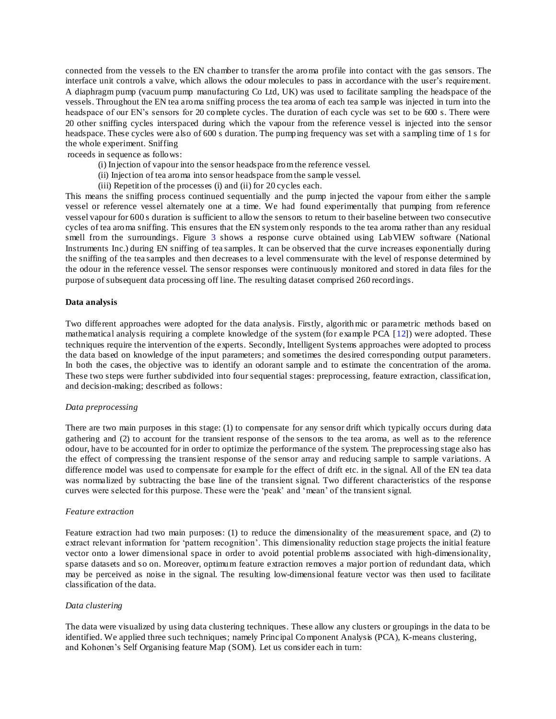connected from the vessels to the EN chamber to transfer the aroma profile into contact with the gas sensors. The interface unit controls a valve, which allows the odour molecules to pass in accordance with the user's requirement. A diaphragm pump (vacuum pump manufacturing Co Ltd, UK) was used to facilitate sampling the headspace of the vessels. Throughout the EN tea aroma sniffing process the tea aroma of each tea sample was injected in turn into the headspace of our EN's sensors for 20 complete cycles. The duration of each cycle was set to be 600 s. There were 20 other sniffing cycles interspaced during which the vapour from the reference vessel is injected into the sensor headspace. These cycles were also of 600 s duration. The pumping frequency was set with a sampling time of 1 s for the whole experiment. Sniffing

roceeds in sequence as follows:

- (i) Injection of vapour into the sensor headspace from the reference vessel.
- (ii) Injection of tea aroma into sensor headspace from the sample vessel.
- (iii) Repetition of the processes (i) and (ii) for 20 cycles each.

This means the sniffing process continued sequentially and the pump injected the vapour from either the s ample vessel or reference vessel alternately one at a time. We had found experimentally that pumping from reference vessel vapour for 600 s duration is sufficient to allow the sensors to return to their baseline between two consecutive cycles of tea aroma sniffing. This ensures that the EN system only responds to the tea aroma rather than any residual smell from the surroundings. Figure 3 shows a response curve obtained using LabVIEW software (National Instruments Inc.) during EN sniffing of tea samples. It can be observed that the curve increases exponentially during the sniffing of the tea samples and then decreases to a level commensurate with the level of response determined by the odour in the reference vessel. The sensor responses were continuously monitored and stored in data files for the purpose of subsequent data processing off line. The resulting dataset comprised 260 recordings.

### **Data analysis**

Two different approaches were adopted for the data analysis. Firstly, algorithmic or parametric methods based on mathematical analysis requiring a complete knowledge of the system (for example PCA [12]) were adopted. These techniques require the intervention of the experts. Secondly, Intelligent Systems approaches were adopted to process the data based on knowledge of the input parameters; and sometimes the desired corresponding output parameters. In both the cases, the objective was to identify an odorant sample and to estimate the concentration of the aroma. These two steps were further subdivided into four sequential stages: preprocessing, feature extraction, classification, and decision-making; described as follows:

#### *Data preprocessing*

There are two main purposes in this stage: (1) to compensate for any sensor drift which typically occurs during data gathering and (2) to account for the transient response of the sensors to the tea aroma, as well as to the reference odour, have to be accounted for in order to optimize the performance of the system. The preprocessing stage also has the effect of compressing the transient response of the sensor array and reducing sample to sample variations. A difference model was used to compensate for example for the effect of drift etc. in the signal. All of the EN tea data was normalized by subtracting the base line of the transient signal. Two different characteristics of the response curves were selected for this purpose. These were the 'peak' and 'mean' of the transient signal.

#### *Feature extraction*

Feature extraction had two main purposes: (1) to reduce the dimensionality of the measurement space, and (2) to extract relevant information for 'pattern recognition'. This dimensionality reduction stage projects the initial feature vector onto a lower dimensional space in order to avoid potential problems associated with high-dimensionality, sparse datasets and so on. Moreover, optimum feature extraction removes a major portion of redundant data, which may be perceived as noise in the signal. The resulting low-dimensional feature vector was then used to facilitate classification of the data.

#### *Data clustering*

The data were visualized by using data clustering techniques. These allow any clusters or groupings in the data to be identified. We applied three such techniques; namely Principal Component Analysis (PCA), K-means clustering, and Kohonen's Self Organising feature Map (SOM). Let us consider each in turn: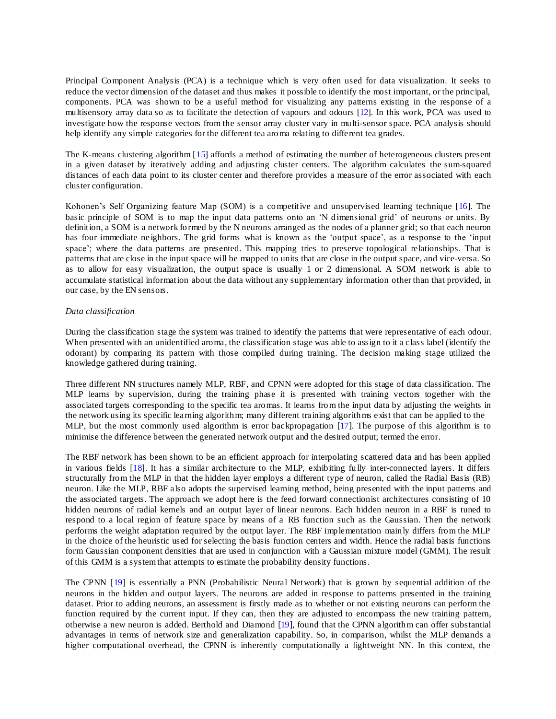Principal Component Analysis (PCA) is a technique which is very often used for data visualization. It seeks to reduce the vector dimension of the dataset and thus makes it possible to identify the most important, or the principal, components. PCA was shown to be a useful method for visualizing any patterns existing in the response of a multisensory array data so as to facilitate the detection of vapours and odours [12]. In this work, PCA was used to investigate how the response vectors from the sensor array cluster vary in multi-sensor space. PCA analysis should help identify any simple categories for the different tea aroma relating to different tea grades.

The K-means clustering algorithm [15] affords a method of estimating the number of heterogeneous clusters present in a given dataset by iteratively adding and adjusting cluster centers. The algorithm calculates the sum-squared distances of each data point to its cluster center and therefore provides a measure of the error associated with each cluster configuration.

Kohonen's Self Organizing feature Map (SOM) is a competitive and unsupervised learning technique [16]. The basic principle of SOM is to map the input data patterns onto an 'N dimensional grid' of neurons or units. By definition, a SOM is a network formed by the N neurons arranged as the nodes of a planner grid; so that each neuron has four immediate neighbors. The grid forms what is known as the 'output space', as a response to the 'input space'; where the data patterns are presented. This mapping tries to preserve topological relationships. That is patterns that are close in the input space will be mapped to units that are close in the output space, and vice-versa. So as to allow for easy visualization, the output space is usually 1 or 2 dimensional. A SOM network is able to accumulate statistical information about the data without any supplementary information other than that provided, in our case, by the EN sensors.

## *Data classification*

During the classification stage the system was trained to identify the patterns that were representative of each odour. When presented with an unidentified aroma, the classification stage was able to assign to it a class label (identify the odorant) by comparing its pattern with those compiled during training. The decision making stage utilized the knowledge gathered during training.

Three different NN structures namely MLP, RBF, and CPNN were adopted for this stage of data classification. The MLP learns by supervision, during the training phase it is presented with training vectors together with the associated targets corresponding to the specific tea aromas. It learns from the input data by adjusting the weights in the network using its specific lea rning algorithm; many different training algorithms exist that can be applied to the MLP, but the most commonly used algorithm is error backpropagation [17]. The purpose of this algorithm is to minimise the difference between the generated network output and the desired output; termed the error.

The RBF network has been shown to be an efficient approach for interpolating scattered data and has been applied in various fields [18]. It has a similar architecture to the MLP, exhibiting fu lly inter-connected layers. It differs structurally from the MLP in that the hidden layer employs a different type of neuron, called the Radial Basis (RB) neuron. Like the MLP, RBF also adopts the supervised learning method, being presented with the input patterns and the associated targets. The approach we adopt here is the feed forward connectionist architectures consisting of 10 hidden neurons of radial kernels and an output layer of linear neurons. Each hidden neuron in a RBF is tuned to respond to a local region of feature space by means of a RB function such as the Gaussian. Then the network performs the weight adaptation required by the output layer. The RBF implementation mainly differs from the MLP in the choice of the heuristic used for selecting the basis function centers and width. Hence the radial basis functions form Gaussian component densities that are used in conjunction with a Gaussian mixture model (GMM). The result of this GMM is a system that attempts to estimate the probability density functions.

The CPNN [19] is essentially a PNN (Probabilistic Neural Network) that is grown by sequential addition of the neurons in the hidden and output layers. The neurons are added in response to patterns presented in the training dataset. Prior to adding neurons, an assessment is firstly made as to whether or not existing neurons can perform the function required by the current input. If they can, then they are adjusted to encompass the new training pattern, otherwise a new neuron is added. Berthold and Diamond [19], found that the CPNN algorithm can offer substantial advantages in terms of network size and generalization capability. So, in comparison, whilst the MLP demands a higher computational overhead, the CPNN is inherently computationally a lightweight NN. In this context, the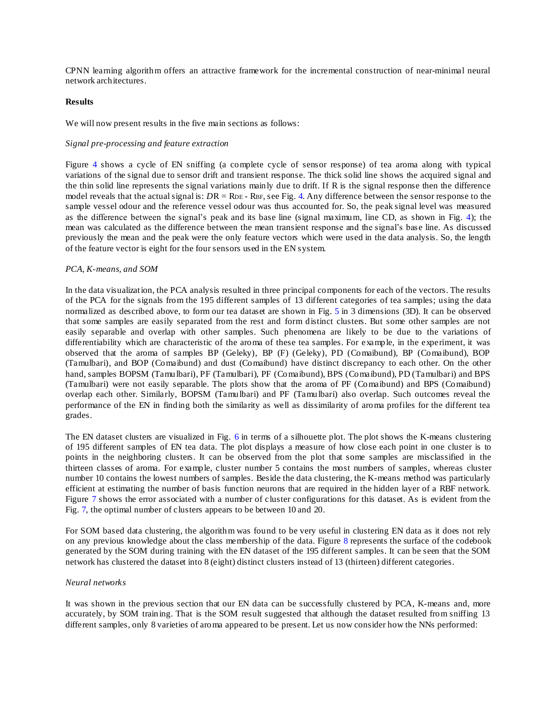CPNN learning algorithm offers an attractive framework for the incremental construction of near-minimal neural network architectures.

## **Results**

We will now present results in the five main sections as follows:

### *Signal pre-processing and feature extraction*

Figure 4 shows a cycle of EN sniffing (a complete cycle of sensor response) of tea aroma along with typical variations of the signal due to sensor drift and transient response. The thick solid line shows the acquired signal and the thin solid line represents the signal variations mainly due to drift. If  $R$  is the signal response then the difference model reveals that the actual signal is:  $DR = RDE$ -RBF, see Fig. 4. Any difference between the sensor response to the sample vessel odour and the reference vessel odour was thus accounted for. So, the peak signal level was measured as the difference between the signal's peak and its base line (signal maximum, line CD, as shown in Fig. 4); the mean was calculated as the difference between the mean transient response and the signal's base line. As discussed previously the mean and the peak were the only feature vectors which were used in the data analysis. So, the length of the feature vector is eight for the four sensors used in the EN system.

## *PCA, K-means, and SOM*

In the data visualization, the PCA analysis resulted in three principal components for each of the vectors. The results of the PCA for the signals from the 195 different samples of 13 different categories of tea samples; using the data normalized as described above, to form our tea dataset are shown in Fig. 5 in 3 dimensions (3D). It can be observed that some samples are easily separated from the rest and form distinct clusters. But some other samples are not easily separable and overlap with other samples. Such phenomena are likely to be due to the variations of differentiability which are characteristic of the aroma of these tea samples. For example, in the experiment, it was observed that the aroma of samples BP (Geleky), BP (F) (Geleky), PD (Comaibund), BP (Comaibund), BOP (Tamulbari), and BOP (Comaibund) and dust (Comaibund) have distinct discrepancy to each other. On the other hand, samples BOPSM (Tamulbari), PF (Tamulbari), PF (Comaibund), BPS (Comaibund), PD (Tamulbari) and BPS (Tamulbari) were not easily separable. The plots show that the aroma of PF (Comaibund) and BPS (Comaibund) overlap each other. Similarly, BOPSM (Tamulbari) and PF (Tamulbari) also overlap. Such outcomes reveal the performance of the EN in finding both the similarity as well as dissimilarity of aroma profiles for the different tea grades.

The EN dataset clusters are visualized in Fig. 6 in terms of a silhouette plot. The plot shows the K-means clustering of 195 different samples of EN tea data. The plot displays a measure of how close each point in one cluster is to points in the neighboring clusters. It can be observed from the plot that some samples are misclassified in the thirteen classes of aroma. For example, cluster number 5 contains the most numbers of samples, whereas cluster number 10 contains the lowest numbers of samples. Beside the data clustering, the K-means method was particularly efficient at estimating the number of basis function neurons that are required in the hidden layer of a RBF network. Figure 7 shows the error associated with a number of cluster configurations for this dataset. As is evident from the Fig. 7, the optimal number of clusters appears to be between 10 and 20.

For SOM based data clustering, the algorithm was found to be very useful in clustering EN data as it does not rely on any previous knowledge about the class membership of the data. Figure 8 represents the surface of the codebook generated by the SOM during training with the EN dataset of the 195 different samples. It can be seen that the SOM network has clustered the dataset into 8 (eight) distinct clusters instead of 13 (thirteen) different categories.

## *Neural networks*

It was shown in the previous section that our EN data can be successfully clustered by PCA, K-means and, more accurately, by SOM training. That is the SOM result suggested that although the dataset resulted from sniffing 13 different samples, only 8 varieties of aroma appeared to be present. Let us now consider how the NNs performed: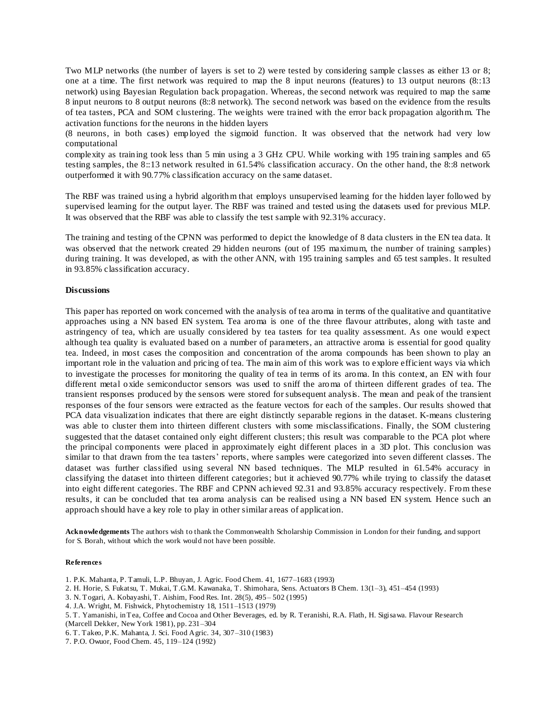Two MLP networks (the number of layers is set to 2) were tested by considering sample classes as either 13 or 8; one at a time. The first network was required to map the 8 input neurons (features) to 13 output neurons (8::13 network) using Bayesian Regulation back propagation. Whereas, the second network was required to map the same 8 input neurons to 8 output neurons (8::8 network). The second network was based on the evidence from the results of tea tasters, PCA and SOM clustering. The weights were trained with the error back propagation algorithm. The activation functions for the neurons in the hidden layers

(8 neurons, in both cases) employed the sigmoid function. It was observed that the network had very low computational

complexity as training took less than 5 min using a 3 GHz CPU. While working with 195 training samples and 65 testing samples, the 8::13 network resulted in 61.54% classification accuracy. On the other hand, the 8::8 network outperformed it with 90.77% classification accuracy on the same dataset.

The RBF was trained using a hybrid algorithm that employs unsupervised learning for the hidden layer followed by supervised learning for the output layer. The RBF was trained and tested using the datasets used for previous MLP. It was observed that the RBF was able to classify the test sample with 92.31% accuracy.

The training and testing of the CPNN was performed to depict the knowledge of 8 data clusters in the EN tea data. It was observed that the network created 29 hidden neurons (out of 195 maximum, the number of training samples) during training. It was developed, as with the other ANN, with 195 training samples and 65 test samples. It resulted in 93.85% classification accuracy.

#### **Discussions**

This paper has reported on work concerned with the analysis of tea aroma in terms of the qualitative and quantitative approaches using a NN based EN system. Tea aroma is one of the three flavour attributes, along with taste and astringency of tea, which are usually considered by tea tasters for tea quality assessment. As one would expect although tea quality is evaluated based on a number of parameters, an attractive aroma is essential for good quality tea. Indeed, in most cases the composition and concentration of the aroma compounds has been shown to play an important role in the valuation and pricing of tea. The main aim of this work was to explore efficient ways via which to investigate the processes for monitoring the quality of tea in terms of its aroma. In this context, an EN with four different metal oxide semiconductor sensors was used to sniff the aroma of thirteen different grades of tea. The transient responses produced by the sensors were stored for subsequent analysis. The mean and peak of the transient responses of the four sensors were extracted as the feature vectors for each of the samples. Our results showed that PCA data visualization indicates that there are eight distinctly separable regions in the dataset. K-means clustering was able to cluster them into thirteen different clusters with some misclassifications. Finally, the SOM clustering suggested that the dataset contained only eight different clusters; this result was comparable to the PCA plot where the principal components were placed in approximately eight different places in a 3D plot. This conclusion was similar to that drawn from the tea tasters' reports, where samples were categorized into seven different classes. The dataset was further classified using several NN based techniques. The MLP resulted in 61.54% accuracy in classifying the dataset into thirteen different categories; but it achieved 90.77% while trying to classify the dataset into eight different categories. The RBF and CPNN achieved 92.31 and 93.85% accuracy respectively. From these results, it can be concluded that tea aroma analysis can be realised using a NN based EN system. Hence such an approach should have a key role to play in other similar areas of application.

**Acknowledgements** The authors wish to thank the Commonwealth Scholarship Commission in London for their funding, and support for S. Borah, without which the work would not have been possible.

#### **References**

- 1. P.K. Mahanta, P. Tamuli, L.P. Bhuyan, J. Agric. Food Chem. 41, 1677–1683 (1993)
- 2. H. Horie, S. Fukatsu, T. Mukai, T.G.M. Kawanaka, T. Shimohara, Sens. Actuators B Chem. 13(1–3), 451–454 (1993)
- 3. N. Togari, A. Kobayashi, T. Aishim, Food Res. Int. 28(5), 495– 502 (1995)
- 4. J.A. Wright, M. Fishwick, Phytochemistry 18, 1511–1513 (1979)
- 5. T. Yamanishi, in Tea, Coffee and Cocoa and Other Beverages, ed. by R. Teranishi, R.A. Flath, H. Sigisawa. Flavour Research
- (Marcell Dekker, New York 1981), pp. 231–304
- 6. T. Takeo, P.K. Mahanta, J. Sci. Food Agric. 34, 307–310 (1983)
- 7. P.O. Owuor, Food Chem. 45, 119–124 (1992)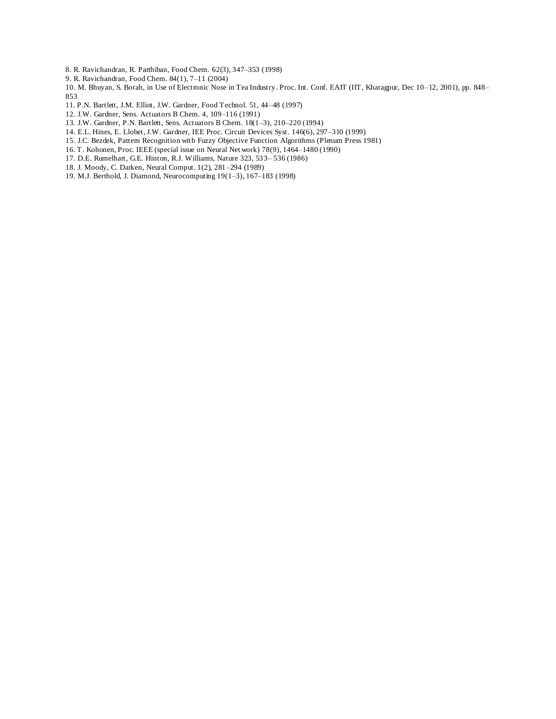8. R. Ravichandran, R. Parthiban, Food Chem. 62(3), 347–353 (1998)

9. R. Ravichandran, Food Chem. 84(1), 7–11 (2004)

10. M. Bhuyan, S. Borah, in Use of Electronic Nose in Tea Industry. Proc. Int. Conf. EAIT (IIT, Kharagpur, Dec 10–12, 2001), pp. 848– 853

- 11. P.N. Bartlett, J.M. Elliot, J.W. Gardner, Food Technol. 51, 44–48 (1997)
- 12. J.W. Gardner, Sens. Actuators B Chem. 4, 109–116 (1991)
- 13. J.W. Gardner, P.N. Bartlett, Sens. Actuators B Chem. 18(1–3), 210–220 (1994)
- 14. E.L. Hines, E. Llobet, J.W. Gardner, IEE Proc. Circuit Devices Syst. 146(6), 297–310 (1999)
- 15. J.C. Bezdek, Pattern Recognition with Fuzzy Objective Function Algorithms (Plenum Press 1981)
- 16. T. Kohonen, Proc. IEEE (special issue on Neural Net work) 78(9), 1464–1480 (1990)
- 17. D.E. Rumelhart, G.E. Hinton, R.J. Williams, Nature 323, 533– 536 (1986)
- 18. J. Moody, C. Darken, Neural Comput. 1(2), 281–294 (1989)
- 19. M.J. Berthold, J. Diamond, Neurocomputing 19(1–3), 167–183 (1998)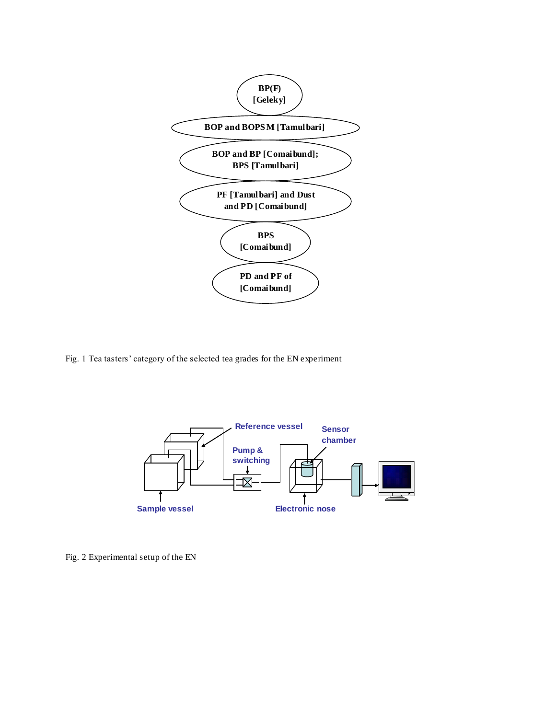

Fig. 1 Tea tasters' category of the selected tea grades for the EN experiment



Fig. 2 Experimental setup of the EN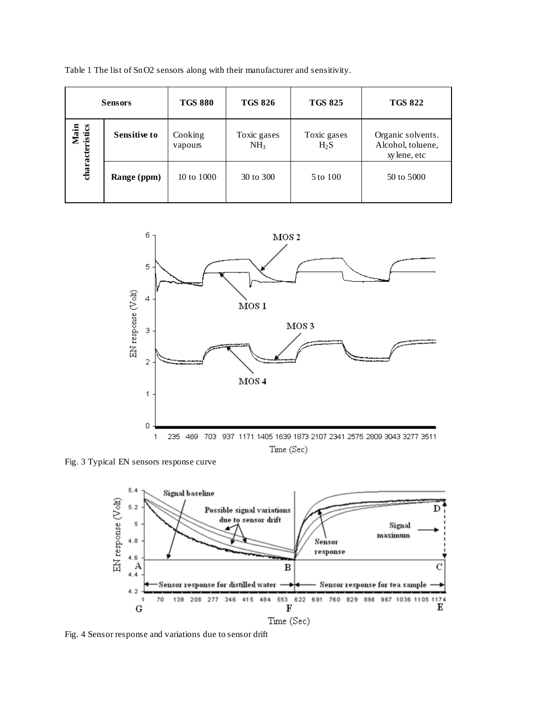Table 1 The list of SnO2 sensors along with their manufacturer and sensitivity.

| <b>Sensors</b>          |                     | <b>TGS 880</b>     | <b>TGS 826</b>                 | <b>TGS 825</b>        | <b>TGS 822</b>                                        |
|-------------------------|---------------------|--------------------|--------------------------------|-----------------------|-------------------------------------------------------|
| Main<br>characteristics | <b>Sensitive to</b> | Cooking<br>vapours | Toxic gases<br>NH <sub>3</sub> | Toxic gases<br>$H_2S$ | Organic solvents.<br>Alcohol, toluene,<br>xylene, etc |
|                         | Range (ppm)         | 10 to 1000         | 30 to 300                      | 5 to 100              | 50 to 5000                                            |



Fig. 3 Typical EN sensors response curve



Fig. 4 Sensor response and variations due to sensor drift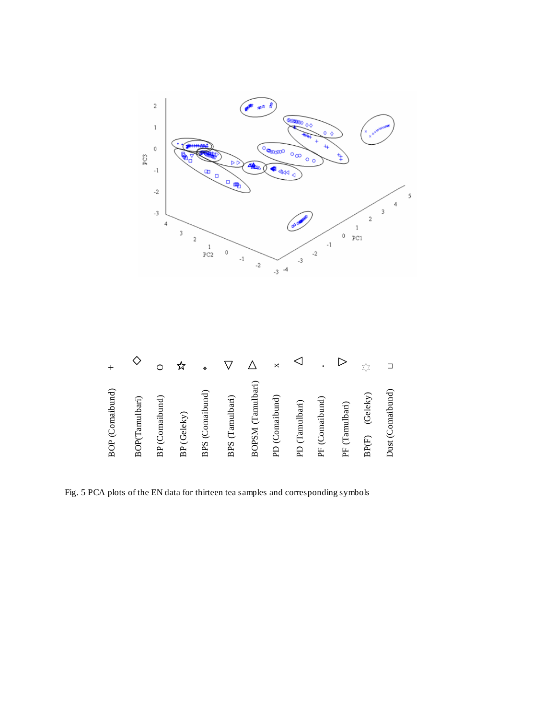

| BOP (Comaibund)   |        |
|-------------------|--------|
| BOP(Tamulbari)    |        |
| BP (Comaibund)    |        |
| BP (Geleky)       |        |
| BPS (Comaibund)   | ∗      |
| BPS (Tamulbari)   |        |
| BOPSM (Tamulbari) |        |
| PD (Comaibund)    | ×      |
| PD (Tamulbari)    |        |
| PF (Comaibund)    | ٠      |
| PF (Tamulbari)    |        |
| BP(F) (Geleky)    |        |
| Dust (Comaibund)  | $\Box$ |

Fig. 5 PCA plots of the EN data for thirteen tea samples and corresponding symbols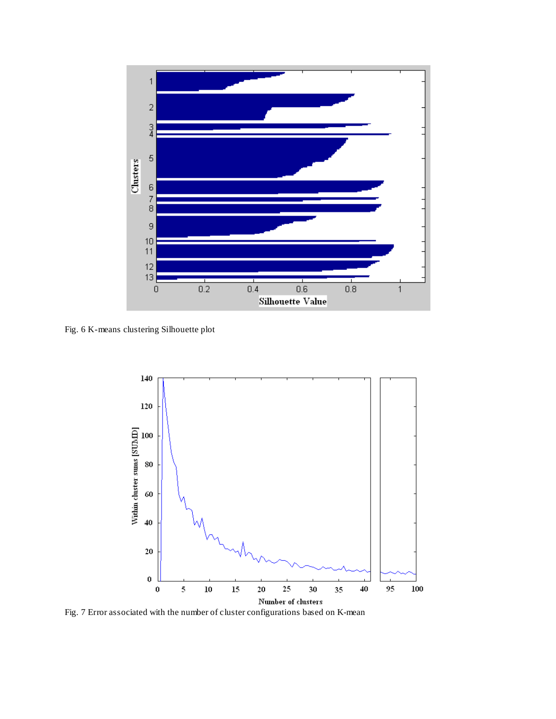![](_page_11_Figure_0.jpeg)

Fig. 6 K-means clustering Silhouette plot

![](_page_11_Figure_2.jpeg)

Fig. 7 Error associated with the number of cluster configurations based on K-mean